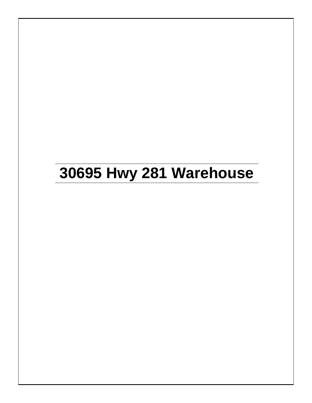## **30695 Hwy 281 Warehouse**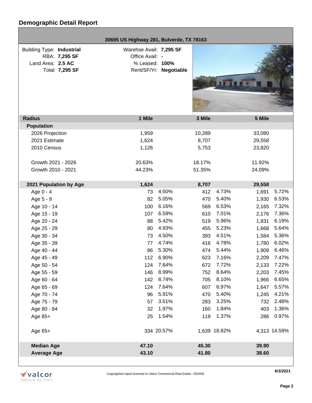г

|                                  | 30695 US Highway 281, Bulverde, TX 78163 |                        |        |              |        |              |
|----------------------------------|------------------------------------------|------------------------|--------|--------------|--------|--------------|
| <b>Building Type: Industrial</b> | Warehse Avail: 7,295 SF                  |                        |        |              |        |              |
| RBA: 7,295 SF                    | Office Avail: -                          |                        |        |              |        |              |
| Land Area: 2.5 AC                | % Leased: 100%                           |                        |        |              |        |              |
| Total 7,295 SF                   |                                          | Rent/SF/Yr: Negotiable |        |              |        |              |
|                                  |                                          |                        |        |              |        |              |
|                                  |                                          |                        |        |              |        |              |
|                                  |                                          |                        |        |              |        |              |
|                                  |                                          |                        |        |              |        |              |
| <b>Radius</b>                    | 1 Mile                                   |                        | 3 Mile |              | 5 Mile |              |
| <b>Population</b>                |                                          |                        |        |              |        |              |
| 2026 Projection                  | 1,959                                    |                        | 10,289 |              | 33,080 |              |
| 2021 Estimate                    | 1,624                                    |                        | 8,707  |              | 29,558 |              |
| 2010 Census                      | 1,126                                    |                        | 5,753  |              | 23,820 |              |
|                                  |                                          |                        |        |              |        |              |
| Growth 2021 - 2026               | 20.63%                                   |                        | 18.17% |              | 11.92% |              |
| Growth 2010 - 2021               | 44.23%                                   |                        | 51.35% |              | 24.09% |              |
|                                  |                                          |                        |        |              |        |              |
| 2021 Population by Age           | 1,624                                    |                        | 8,707  |              | 29,558 |              |
| Age 0 - 4                        | 73                                       | 4.50%                  | 412    | 4.73%        | 1,691  | 5.72%        |
| Age 5 - 9                        | 82                                       | 5.05%                  | 470    | 5.40%        | 1,930  | 6.53%        |
| Age 10 - 14                      | 100                                      | 6.16%                  | 569    | 6.53%        | 2,165  | 7.32%        |
| Age 15 - 19                      | 107                                      | 6.59%                  | 610    | 7.01%        | 2,176  | 7.36%        |
| Age 20 - 24                      | 88                                       | 5.42%                  | 519    | 5.96%        | 1,831  | 6.19%        |
| Age 25 - 29                      | 80                                       | 4.93%                  | 455    | 5.23%        | 1,668  | 5.64%        |
| Age 30 - 34                      | 73                                       | 4.50%                  | 393    | 4.51%        | 1,584  | 5.36%        |
| Age 35 - 39                      | 77                                       | 4.74%                  | 416    | 4.78%        | 1,780  | 6.02%        |
| Age 40 - 44                      | 86                                       | 5.30%                  | 474    | 5.44%        | 1,909  | 6.46%        |
| Age 45 - 49                      | 112                                      | 6.90%                  | 623    | 7.16%        | 2,209  | 7.47%        |
| Age 50 - 54                      | 124                                      | 7.64%                  | 672    | 7.72%        | 2,133  | 7.22%        |
| Age 55 - 59                      | 146                                      | 8.99%                  | 752    | 8.64%        | 2,203  | 7.45%        |
| Age 60 - 64                      | 142                                      | 8.74%                  | 705    | 8.10%        | 1,966  | 6.65%        |
| Age 65 - 69                      | 124                                      | 7.64%                  | 607    | 6.97%        | 1,647  | 5.57%        |
| Age 70 - 74                      | 96                                       | 5.91%                  | 470    | 5.40%        | 1,245  | 4.21%        |
| Age 75 - 79                      | 57                                       | 3.51%                  | 283    | 3.25%        | 732    | 2.48%        |
| Age 80 - 84                      | 32                                       | 1.97%                  | 160    | 1.84%        | 403    | 1.36%        |
| Age $85+$                        | 25                                       | 1.54%                  | 119    | 1.37%        | 286    | 0.97%        |
| Age 65+                          |                                          | 334 20.57%             |        | 1,639 18.82% |        | 4,313 14.59% |
| <b>Median Age</b>                | 47.10                                    |                        | 45.30  |              | 39.90  |              |
| <b>Average Age</b>               | 43.10                                    |                        | 41.80  |              | 38.60  |              |
|                                  |                                          |                        |        |              |        |              |



**6/3/2021**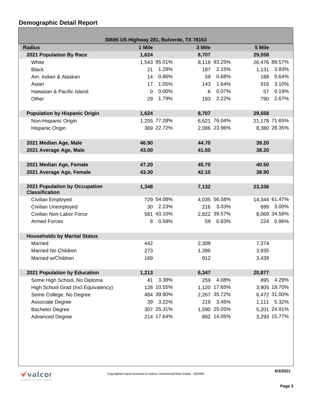## **Demographic Detail Report**

г

| 30695 US Highway 281, Bulverde, TX 78163               |          |              |        |              |        |               |  |
|--------------------------------------------------------|----------|--------------|--------|--------------|--------|---------------|--|
| <b>Radius</b>                                          | 1 Mile   |              | 3 Mile |              | 5 Mile |               |  |
| 2021 Population By Race                                | 1,624    |              | 8,707  |              | 29,558 |               |  |
| White                                                  |          | 1,543 95.01% |        | 8,119 93.25% |        | 26,476 89.57% |  |
| <b>Black</b>                                           | 21       | 1.29%        | 187    | 2.15%        | 1,131  | 3.83%         |  |
| Am. Indian & Alaskan                                   | 14       | 0.86%        | 59     | 0.68%        | 188    | 0.64%         |  |
| Asian                                                  | 17       | 1.05%        | 143    | 1.64%        | 916    | 3.10%         |  |
| Hawaiian & Pacific Island                              | $\Omega$ | 0.00%        | 6      | 0.07%        | 57     | 0.19%         |  |
| Other                                                  | 29       | 1.79%        |        | 193 2.22%    | 790    | 2.67%         |  |
|                                                        |          |              |        |              |        |               |  |
| <b>Population by Hispanic Origin</b>                   | 1,624    |              | 8,707  |              | 29,558 |               |  |
| Non-Hispanic Origin                                    |          | 1,255 77.28% |        | 6,621 76.04% |        | 21,178 71.65% |  |
| Hispanic Origin                                        |          | 369 22.72%   |        | 2,086 23.96% |        | 8,380 28.35%  |  |
|                                                        |          |              |        |              |        |               |  |
| 2021 Median Age, Male                                  | 46.90    |              | 44.70  |              | 39.20  |               |  |
| 2021 Average Age, Male                                 | 43.00    |              | 41.50  |              | 38.20  |               |  |
|                                                        |          |              |        |              |        |               |  |
| 2021 Median Age, Female                                | 47.20    |              | 45.70  |              | 40.50  |               |  |
| 2021 Average Age, Female                               | 43.30    |              | 42.10  |              | 38.90  |               |  |
|                                                        |          |              |        |              |        |               |  |
| 2021 Population by Occupation<br><b>Classification</b> | 1,348    |              | 7,132  |              | 23,336 |               |  |
| Civilian Employed                                      |          | 729 54.08%   |        | 4,035 56.58% |        | 14,344 61.47% |  |
| Civilian Unemployed                                    |          | 30 2.23%     |        | 216 3.03%    |        | 699 3.00%     |  |
| Civilian Non-Labor Force                               |          | 581 43.10%   |        | 2,822 39.57% |        | 8,069 34.58%  |  |
| <b>Armed Forces</b>                                    | 8        | 0.59%        |        | 59 0.83%     |        | 224 0.96%     |  |
|                                                        |          |              |        |              |        |               |  |
| <b>Households by Marital Status</b>                    |          |              |        |              |        |               |  |
| Married                                                | 442      |              | 2,309  |              | 7,374  |               |  |
| Married No Children                                    | 273      |              | 1,396  |              | 3,935  |               |  |
| Married w/Children                                     | 169      |              | 912    |              | 3.439  |               |  |
|                                                        |          |              |        |              |        |               |  |
| 2021 Population by Education                           | 1,213    |              | 6,347  |              | 20,877 |               |  |
| Some High School, No Diploma                           | 41       | 3.38%        | 259    | 4.08%        | 895    | 4.29%         |  |
| High School Grad (Incl Equivalency)                    |          | 128 10.55%   |        | 1,120 17.65% |        | 3,905 18.70%  |  |
| Some College, No Degree                                |          | 484 39.90%   |        | 2,267 35.72% |        | 6,472 31.00%  |  |
| Associate Degree                                       |          | 39 3.22%     | 219    | 3.45%        | 1,111  | 5.32%         |  |
| <b>Bachelor Degree</b>                                 |          | 307 25.31%   |        | 1,590 25.05% |        | 5,201 24.91%  |  |
| <b>Advanced Degree</b>                                 |          | 214 17.64%   |        | 892 14.05%   |        | 3,293 15.77%  |  |

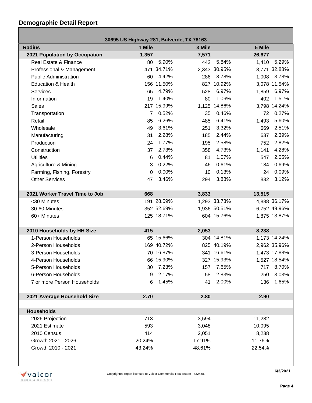## **Demographic Detail Report**

| 30695 US Highway 281, Bulverde, TX 78163 |          |              |                              |  |  |  |  |
|------------------------------------------|----------|--------------|------------------------------|--|--|--|--|
| <b>Radius</b>                            | 1 Mile   | 3 Mile       | 5 Mile                       |  |  |  |  |
| 2021 Population by Occupation            | 1,357    | 7,571        | 26,677                       |  |  |  |  |
| Real Estate & Finance                    | 80       | 5.90%<br>442 | 5.29%<br>5.84%<br>1,410      |  |  |  |  |
| Professional & Management                |          | 471 34.71%   | 2,343 30.95%<br>8,771 32.88% |  |  |  |  |
| <b>Public Administration</b>             | 60       | 4.42%<br>286 | 3.78%<br>1,008<br>3.78%      |  |  |  |  |
| <b>Education &amp; Health</b>            |          | 156 11.50%   | 827 10.92%<br>3,078 11.54%   |  |  |  |  |
| <b>Services</b>                          | 65       | 4.79%<br>528 | 6.97%<br>6.97%<br>1,859      |  |  |  |  |
| Information                              | 19       | 1.40%<br>80  | 1.06%<br>1.51%<br>402        |  |  |  |  |
| <b>Sales</b>                             |          | 217 15.99%   | 1,125 14.86%<br>3,798 14.24% |  |  |  |  |
| Transportation                           | 7        | 0.52%<br>35  | 0.46%<br>0.27%<br>72         |  |  |  |  |
| Retail                                   | 85       | 6.26%<br>485 | 6.41%<br>5.60%<br>1,493      |  |  |  |  |
| Wholesale                                | 49       | 3.61%<br>251 | 3.32%<br>2.51%<br>669        |  |  |  |  |
| Manufacturing                            | 31       | 2.28%<br>185 | 2.44%<br>637<br>2.39%        |  |  |  |  |
| Production                               | 24       | 1.77%<br>195 | 2.58%<br>2.82%<br>752        |  |  |  |  |
| Construction                             | 37       | 2.73%<br>358 | 4.73%<br>4.28%<br>1,141      |  |  |  |  |
| <b>Utilities</b>                         | 6        | 0.44%<br>81  | 1.07%<br>2.05%<br>547        |  |  |  |  |
| Agriculture & Mining                     | 3        | 0.22%<br>46  | 0.61%<br>0.69%<br>184        |  |  |  |  |
| Farming, Fishing, Forestry               | $\Omega$ | 0.00%<br>10  | 0.13%<br>0.09%<br>24         |  |  |  |  |
| <b>Other Services</b>                    | 47       | 3.46%<br>294 | 3.88%<br>3.12%<br>832        |  |  |  |  |
|                                          |          |              |                              |  |  |  |  |
| 2021 Worker Travel Time to Job           | 668      | 3,833        | 13,515                       |  |  |  |  |
| <30 Minutes                              |          | 191 28.59%   | 1,293 33.73%<br>4,888 36.17% |  |  |  |  |
| 30-60 Minutes                            |          | 352 52.69%   | 1,936 50.51%<br>6,752 49.96% |  |  |  |  |
| 60+ Minutes                              |          | 125 18.71%   | 604 15.76%<br>1,875 13.87%   |  |  |  |  |
|                                          |          |              |                              |  |  |  |  |
| 2010 Households by HH Size               | 415      | 2,053        | 8,238                        |  |  |  |  |
| 1-Person Households                      |          | 65 15.66%    | 304 14.81%<br>1,173 14.24%   |  |  |  |  |
| 2-Person Households                      |          | 169 40.72%   | 825 40.19%<br>2,962 35.96%   |  |  |  |  |
| 3-Person Households                      |          | 70 16.87%    | 341 16.61%<br>1,473 17.88%   |  |  |  |  |
| 4-Person Households                      |          | 66 15.90%    | 327 15.93%<br>1,527 18.54%   |  |  |  |  |
| 5-Person Households                      |          | 30 7.23%     | 157 7.65%<br>717 8.70%       |  |  |  |  |
| 6-Person Households                      | 9        | 2.17%<br>58  | 2.83%<br>3.03%<br>250        |  |  |  |  |
| 7 or more Person Households              | 6        | 1.45%<br>41  | 2.00%<br>1.65%<br>136        |  |  |  |  |
|                                          |          |              |                              |  |  |  |  |
| 2021 Average Household Size              | 2.70     | 2.80         | 2.90                         |  |  |  |  |
|                                          |          |              |                              |  |  |  |  |
| <b>Households</b>                        |          |              |                              |  |  |  |  |
| 2026 Projection                          | 713      | 3,594        | 11,282                       |  |  |  |  |
| 2021 Estimate                            | 593      | 3,048        | 10,095                       |  |  |  |  |
| 2010 Census                              | 414      | 2,051        | 8,238                        |  |  |  |  |
| Growth 2021 - 2026                       | 20.24%   | 17.91%       | 11.76%                       |  |  |  |  |
| Growth 2010 - 2021                       | 43.24%   | 48.61%       | 22.54%                       |  |  |  |  |



**6/3/2021**